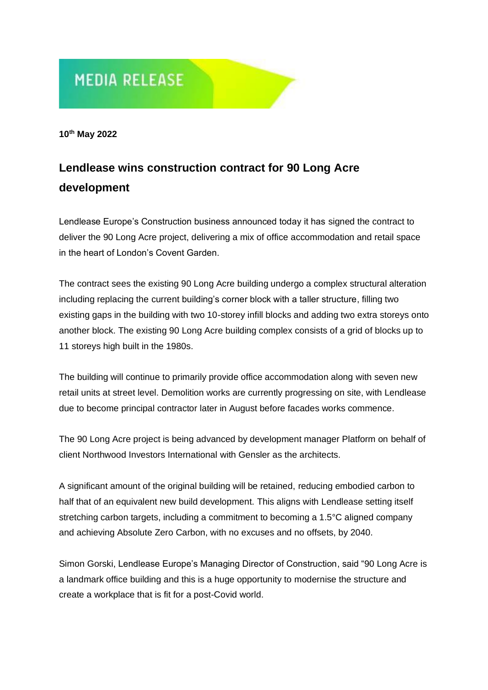# **MEDIA RELEASE**

**10th May 2022**

## **Lendlease wins construction contract for 90 Long Acre development**

Lendlease Europe's Construction business announced today it has signed the contract to deliver the 90 Long Acre project, delivering a mix of office accommodation and retail space in the heart of London's Covent Garden.

The contract sees the existing 90 Long Acre building undergo a complex structural alteration including replacing the current building's corner block with a taller structure, filling two existing gaps in the building with two 10-storey infill blocks and adding two extra storeys onto another block. The existing 90 Long Acre building complex consists of a grid of blocks up to 11 storeys high built in the 1980s.

The building will continue to primarily provide office accommodation along with seven new retail units at street level. Demolition works are currently progressing on site, with Lendlease due to become principal contractor later in August before facades works commence.

The 90 Long Acre project is being advanced by development manager Platform on behalf of client Northwood Investors International with Gensler as the architects.

A significant amount of the original building will be retained, reducing embodied carbon to half that of an equivalent new build development. This aligns with Lendlease setting itself stretching carbon targets, including a commitment to becoming a 1.5°C aligned company and achieving Absolute Zero Carbon, with no excuses and no offsets, by 2040.

Simon Gorski, Lendlease Europe's Managing Director of Construction, said "90 Long Acre is a landmark office building and this is a huge opportunity to modernise the structure and create a workplace that is fit for a post-Covid world.